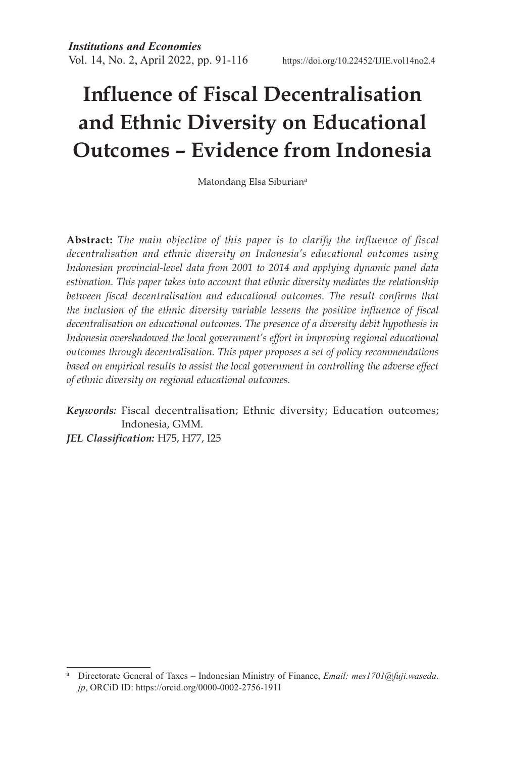# **Influence of Fiscal Decentralisation and Ethnic Diversity on Educational Outcomes – Evidence from Indonesia**

Matondang Elsa Siburiana

**Abstract:** *The main objective of this paper is to clarify the influence of fiscal decentralisation and ethnic diversity on Indonesia's educational outcomes using Indonesian provincial-level data from 2001 to 2014 and applying dynamic panel data estimation. This paper takes into account that ethnic diversity mediates the relationship*  between fiscal decentralisation and educational outcomes. The result confirms that *the inclusion of the ethnic diversity variable lessens the positive influence of fiscal decentralisation on educational outcomes. The presence of a diversity debit hypothesis in Indonesia overshadowed the local government's effort in improving regional educational outcomes through decentralisation. This paper proposes a set of policy recommendations*  based on empirical results to assist the local government in controlling the adverse effect *of ethnic diversity on regional educational outcomes.* 

*Keywords:* Fiscal decentralisation; Ethnic diversity; Education outcomes; Indonesia, GMM. *JEL Classification:* H75, H77, I25

<sup>a</sup> Directorate General of Taxes – Indonesian Ministry of Finance, *Email: mes1701@fuji.waseda*. *jp*, ORCiD ID: https://orcid.org/0000-0002-2756-1911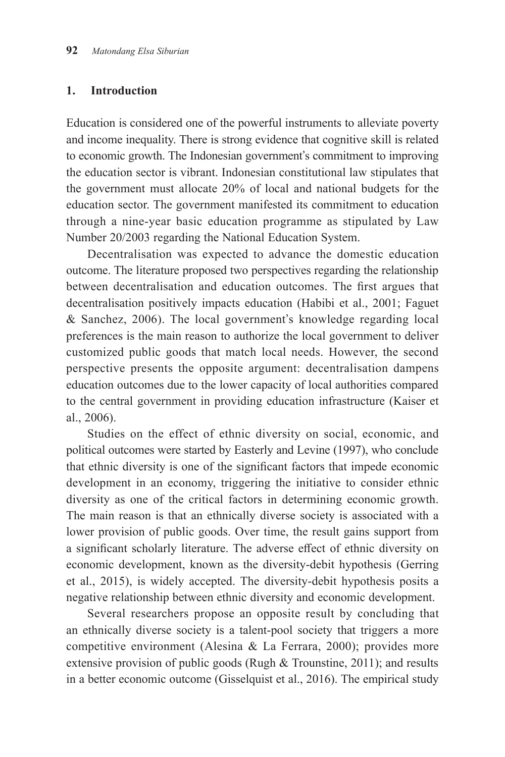#### **1. Introduction**

Education is considered one of the powerful instruments to alleviate poverty and income inequality. There is strong evidence that cognitive skill is related to economic growth. The Indonesian government's commitment to improving the education sector is vibrant. Indonesian constitutional law stipulates that the government must allocate 20% of local and national budgets for the education sector. The government manifested its commitment to education through a nine-year basic education programme as stipulated by Law Number 20/2003 regarding the National Education System.

Decentralisation was expected to advance the domestic education outcome. The literature proposed two perspectives regarding the relationship between decentralisation and education outcomes. The first argues that decentralisation positively impacts education (Habibi et al., 2001; Faguet & Sanchez, 2006). The local government's knowledge regarding local preferences is the main reason to authorize the local government to deliver customized public goods that match local needs. However, the second perspective presents the opposite argument: decentralisation dampens education outcomes due to the lower capacity of local authorities compared to the central government in providing education infrastructure (Kaiser et al., 2006).

Studies on the effect of ethnic diversity on social, economic, and political outcomes were started by Easterly and Levine (1997), who conclude that ethnic diversity is one of the significant factors that impede economic development in an economy, triggering the initiative to consider ethnic diversity as one of the critical factors in determining economic growth. The main reason is that an ethnically diverse society is associated with a lower provision of public goods. Over time, the result gains support from a significant scholarly literature. The adverse effect of ethnic diversity on economic development, known as the diversity-debit hypothesis (Gerring et al., 2015), is widely accepted. The diversity-debit hypothesis posits a negative relationship between ethnic diversity and economic development.

Several researchers propose an opposite result by concluding that an ethnically diverse society is a talent-pool society that triggers a more competitive environment (Alesina & La Ferrara, 2000); provides more extensive provision of public goods (Rugh & Trounstine, 2011); and results in a better economic outcome (Gisselquist et al., 2016). The empirical study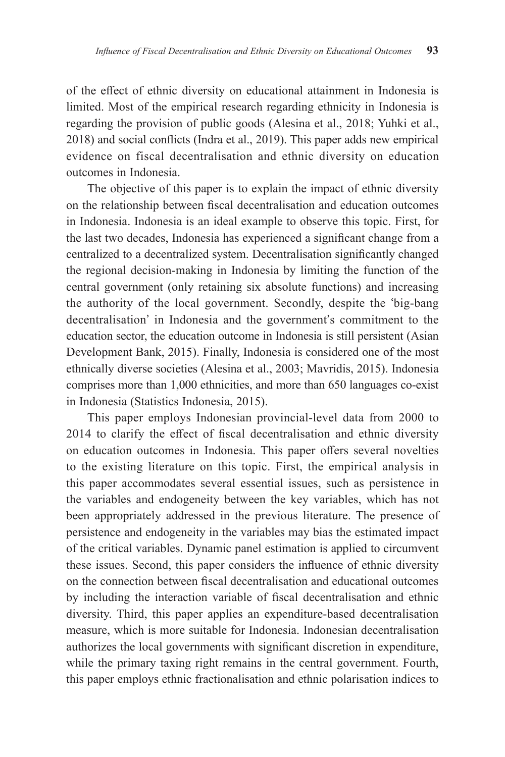of the effect of ethnic diversity on educational attainment in Indonesia is limited. Most of the empirical research regarding ethnicity in Indonesia is regarding the provision of public goods (Alesina et al., 2018; Yuhki et al., 2018) and social conflicts (Indra et al., 2019). This paper adds new empirical evidence on fiscal decentralisation and ethnic diversity on education outcomes in Indonesia.

The objective of this paper is to explain the impact of ethnic diversity on the relationship between fiscal decentralisation and education outcomes in Indonesia. Indonesia is an ideal example to observe this topic. First, for the last two decades, Indonesia has experienced a significant change from a centralized to a decentralized system. Decentralisation significantly changed the regional decision-making in Indonesia by limiting the function of the central government (only retaining six absolute functions) and increasing the authority of the local government. Secondly, despite the 'big-bang decentralisation' in Indonesia and the government's commitment to the education sector, the education outcome in Indonesia is still persistent (Asian Development Bank, 2015). Finally, Indonesia is considered one of the most ethnically diverse societies (Alesina et al., 2003; Mavridis, 2015). Indonesia comprises more than 1,000 ethnicities, and more than 650 languages co-exist in Indonesia (Statistics Indonesia, 2015).

This paper employs Indonesian provincial-level data from 2000 to 2014 to clarify the effect of fiscal decentralisation and ethnic diversity on education outcomes in Indonesia. This paper offers several novelties to the existing literature on this topic. First, the empirical analysis in this paper accommodates several essential issues, such as persistence in the variables and endogeneity between the key variables, which has not been appropriately addressed in the previous literature. The presence of persistence and endogeneity in the variables may bias the estimated impact of the critical variables. Dynamic panel estimation is applied to circumvent these issues. Second, this paper considers the influence of ethnic diversity on the connection between fiscal decentralisation and educational outcomes by including the interaction variable of fiscal decentralisation and ethnic diversity. Third, this paper applies an expenditure-based decentralisation measure, which is more suitable for Indonesia. Indonesian decentralisation authorizes the local governments with significant discretion in expenditure, while the primary taxing right remains in the central government. Fourth, this paper employs ethnic fractionalisation and ethnic polarisation indices to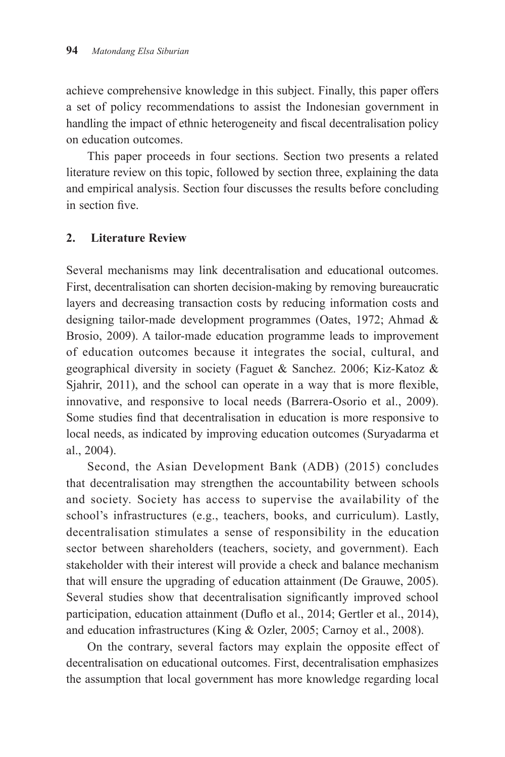achieve comprehensive knowledge in this subject. Finally, this paper offers a set of policy recommendations to assist the Indonesian government in handling the impact of ethnic heterogeneity and fiscal decentralisation policy on education outcomes.

This paper proceeds in four sections. Section two presents a related literature review on this topic, followed by section three, explaining the data and empirical analysis. Section four discusses the results before concluding in section five.

### **2. Literature Review**

Several mechanisms may link decentralisation and educational outcomes. First, decentralisation can shorten decision-making by removing bureaucratic layers and decreasing transaction costs by reducing information costs and designing tailor-made development programmes (Oates, 1972; Ahmad & Brosio, 2009). A tailor-made education programme leads to improvement of education outcomes because it integrates the social, cultural, and geographical diversity in society (Faguet & Sanchez. 2006; Kiz-Katoz & Sjahrir, 2011), and the school can operate in a way that is more flexible, innovative, and responsive to local needs (Barrera-Osorio et al., 2009). Some studies find that decentralisation in education is more responsive to local needs, as indicated by improving education outcomes (Suryadarma et al., 2004).

Second, the Asian Development Bank (ADB) (2015) concludes that decentralisation may strengthen the accountability between schools and society. Society has access to supervise the availability of the school's infrastructures (e.g., teachers, books, and curriculum). Lastly, decentralisation stimulates a sense of responsibility in the education sector between shareholders (teachers, society, and government). Each stakeholder with their interest will provide a check and balance mechanism that will ensure the upgrading of education attainment (De Grauwe, 2005). Several studies show that decentralisation significantly improved school participation, education attainment (Duflo et al., 2014; Gertler et al., 2014), and education infrastructures (King & Ozler, 2005; Carnoy et al., 2008).

On the contrary, several factors may explain the opposite effect of decentralisation on educational outcomes. First, decentralisation emphasizes the assumption that local government has more knowledge regarding local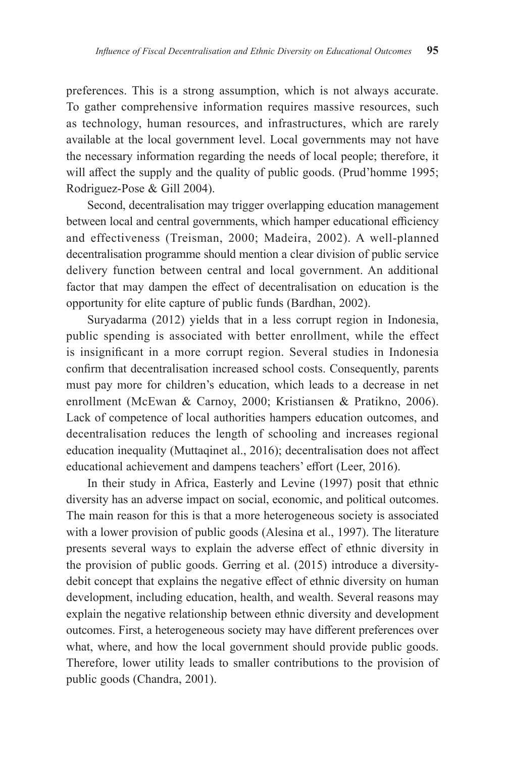preferences. This is a strong assumption, which is not always accurate. To gather comprehensive information requires massive resources, such as technology, human resources, and infrastructures, which are rarely available at the local government level. Local governments may not have the necessary information regarding the needs of local people; therefore, it will affect the supply and the quality of public goods. (Prud'homme 1995; Rodriguez-Pose & Gill 2004).

Second, decentralisation may trigger overlapping education management between local and central governments, which hamper educational efficiency and effectiveness (Treisman, 2000; Madeira, 2002). A well-planned decentralisation programme should mention a clear division of public service delivery function between central and local government. An additional factor that may dampen the effect of decentralisation on education is the opportunity for elite capture of public funds (Bardhan, 2002).

Suryadarma (2012) yields that in a less corrupt region in Indonesia, public spending is associated with better enrollment, while the effect is insignificant in a more corrupt region. Several studies in Indonesia confirm that decentralisation increased school costs. Consequently, parents must pay more for children's education, which leads to a decrease in net enrollment (McEwan & Carnoy, 2000; Kristiansen & Pratikno, 2006). Lack of competence of local authorities hampers education outcomes, and decentralisation reduces the length of schooling and increases regional education inequality (Muttaqinet al., 2016); decentralisation does not affect educational achievement and dampens teachers' effort (Leer, 2016).

In their study in Africa, Easterly and Levine (1997) posit that ethnic diversity has an adverse impact on social, economic, and political outcomes. The main reason for this is that a more heterogeneous society is associated with a lower provision of public goods (Alesina et al., 1997). The literature presents several ways to explain the adverse effect of ethnic diversity in the provision of public goods. Gerring et al. (2015) introduce a diversitydebit concept that explains the negative effect of ethnic diversity on human development, including education, health, and wealth. Several reasons may explain the negative relationship between ethnic diversity and development outcomes. First, a heterogeneous society may have different preferences over what, where, and how the local government should provide public goods. Therefore, lower utility leads to smaller contributions to the provision of public goods (Chandra, 2001).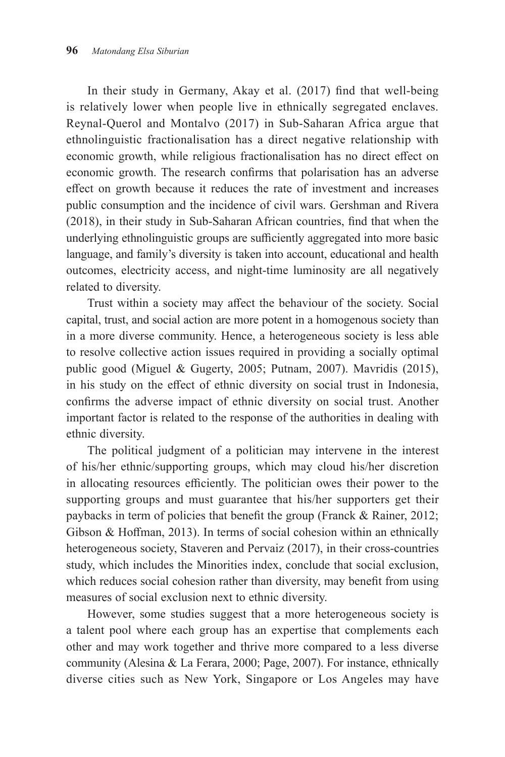In their study in Germany, Akay et al. (2017) find that well-being is relatively lower when people live in ethnically segregated enclaves. Reynal-Querol and Montalvo (2017) in Sub-Saharan Africa argue that ethnolinguistic fractionalisation has a direct negative relationship with economic growth, while religious fractionalisation has no direct effect on economic growth. The research confirms that polarisation has an adverse effect on growth because it reduces the rate of investment and increases public consumption and the incidence of civil wars. Gershman and Rivera (2018), in their study in Sub-Saharan African countries, find that when the underlying ethnolinguistic groups are sufficiently aggregated into more basic language, and family's diversity is taken into account, educational and health outcomes, electricity access, and night-time luminosity are all negatively related to diversity.

Trust within a society may affect the behaviour of the society. Social capital, trust, and social action are more potent in a homogenous society than in a more diverse community. Hence, a heterogeneous society is less able to resolve collective action issues required in providing a socially optimal public good (Miguel & Gugerty, 2005; Putnam, 2007). Mavridis (2015), in his study on the effect of ethnic diversity on social trust in Indonesia, confirms the adverse impact of ethnic diversity on social trust. Another important factor is related to the response of the authorities in dealing with ethnic diversity.

The political judgment of a politician may intervene in the interest of his/her ethnic/supporting groups, which may cloud his/her discretion in allocating resources efficiently. The politician owes their power to the supporting groups and must guarantee that his/her supporters get their paybacks in term of policies that benefit the group (Franck & Rainer, 2012; Gibson & Hoffman, 2013). In terms of social cohesion within an ethnically heterogeneous society, Staveren and Pervaiz (2017), in their cross-countries study, which includes the Minorities index, conclude that social exclusion, which reduces social cohesion rather than diversity, may benefit from using measures of social exclusion next to ethnic diversity.

However, some studies suggest that a more heterogeneous society is a talent pool where each group has an expertise that complements each other and may work together and thrive more compared to a less diverse community (Alesina & La Ferara, 2000; Page, 2007). For instance, ethnically diverse cities such as New York, Singapore or Los Angeles may have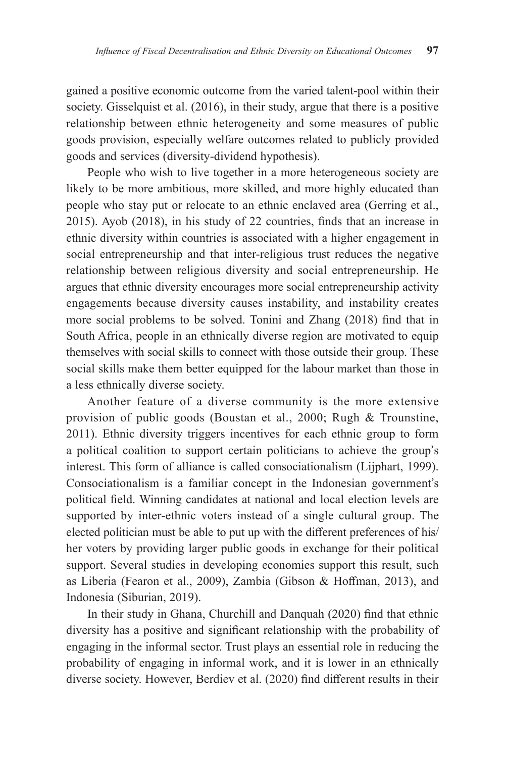gained a positive economic outcome from the varied talent-pool within their society. Gisselquist et al. (2016), in their study, argue that there is a positive relationship between ethnic heterogeneity and some measures of public goods provision, especially welfare outcomes related to publicly provided goods and services (diversity-dividend hypothesis).

People who wish to live together in a more heterogeneous society are likely to be more ambitious, more skilled, and more highly educated than people who stay put or relocate to an ethnic enclaved area (Gerring et al., 2015). Ayob (2018), in his study of 22 countries, finds that an increase in ethnic diversity within countries is associated with a higher engagement in social entrepreneurship and that inter-religious trust reduces the negative relationship between religious diversity and social entrepreneurship. He argues that ethnic diversity encourages more social entrepreneurship activity engagements because diversity causes instability, and instability creates more social problems to be solved. Tonini and Zhang (2018) find that in South Africa, people in an ethnically diverse region are motivated to equip themselves with social skills to connect with those outside their group. These social skills make them better equipped for the labour market than those in a less ethnically diverse society.

Another feature of a diverse community is the more extensive provision of public goods (Boustan et al., 2000; Rugh & Trounstine, 2011). Ethnic diversity triggers incentives for each ethnic group to form a political coalition to support certain politicians to achieve the group's interest. This form of alliance is called consociationalism (Lijphart, 1999). Consociationalism is a familiar concept in the Indonesian government's political field. Winning candidates at national and local election levels are supported by inter-ethnic voters instead of a single cultural group. The elected politician must be able to put up with the different preferences of his/ her voters by providing larger public goods in exchange for their political support. Several studies in developing economies support this result, such as Liberia (Fearon et al., 2009), Zambia (Gibson & Hoffman, 2013), and Indonesia (Siburian, 2019).

In their study in Ghana, Churchill and Danquah (2020) find that ethnic diversity has a positive and significant relationship with the probability of engaging in the informal sector. Trust plays an essential role in reducing the probability of engaging in informal work, and it is lower in an ethnically diverse society. However, Berdiev et al. (2020) find different results in their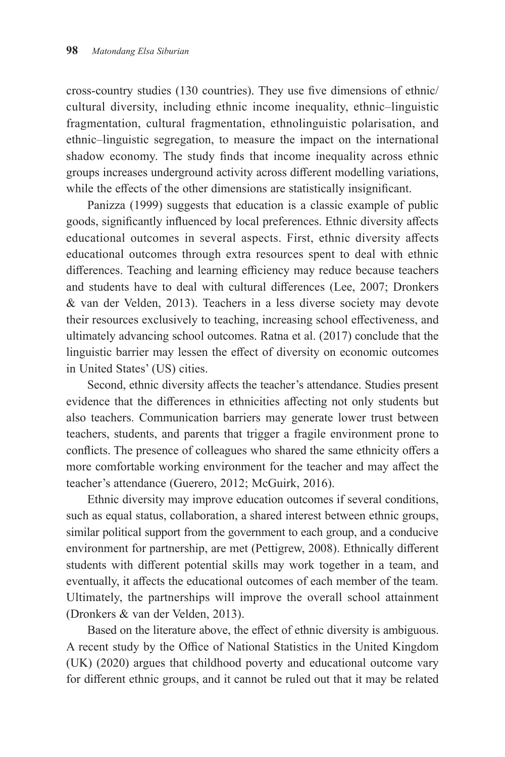cross-country studies (130 countries). They use five dimensions of ethnic/ cultural diversity, including ethnic income inequality, ethnic–linguistic fragmentation, cultural fragmentation, ethnolinguistic polarisation, and ethnic–linguistic segregation, to measure the impact on the international shadow economy. The study finds that income inequality across ethnic groups increases underground activity across different modelling variations, while the effects of the other dimensions are statistically insignificant.

Panizza (1999) suggests that education is a classic example of public goods, significantly influenced by local preferences. Ethnic diversity affects educational outcomes in several aspects. First, ethnic diversity affects educational outcomes through extra resources spent to deal with ethnic differences. Teaching and learning efficiency may reduce because teachers and students have to deal with cultural differences (Lee, 2007; Dronkers & van der Velden, 2013). Teachers in a less diverse society may devote their resources exclusively to teaching, increasing school effectiveness, and ultimately advancing school outcomes. Ratna et al. (2017) conclude that the linguistic barrier may lessen the effect of diversity on economic outcomes in United States' (US) cities.

Second, ethnic diversity affects the teacher's attendance. Studies present evidence that the differences in ethnicities affecting not only students but also teachers. Communication barriers may generate lower trust between teachers, students, and parents that trigger a fragile environment prone to conflicts. The presence of colleagues who shared the same ethnicity offers a more comfortable working environment for the teacher and may affect the teacher's attendance (Guerero, 2012; McGuirk, 2016).

Ethnic diversity may improve education outcomes if several conditions, such as equal status, collaboration, a shared interest between ethnic groups, similar political support from the government to each group, and a conducive environment for partnership, are met (Pettigrew, 2008). Ethnically different students with different potential skills may work together in a team, and eventually, it affects the educational outcomes of each member of the team. Ultimately, the partnerships will improve the overall school attainment (Dronkers & van der Velden, 2013).

Based on the literature above, the effect of ethnic diversity is ambiguous. A recent study by the Office of National Statistics in the United Kingdom (UK) (2020) argues that childhood poverty and educational outcome vary for different ethnic groups, and it cannot be ruled out that it may be related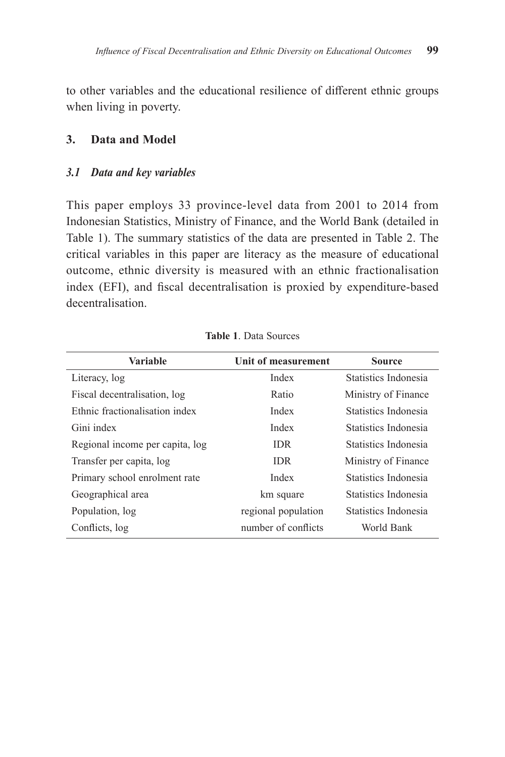to other variables and the educational resilience of different ethnic groups when living in poverty.

### **3. Data and Model**

#### *3.1 Data and key variables*

This paper employs 33 province-level data from 2001 to 2014 from Indonesian Statistics, Ministry of Finance, and the World Bank (detailed in Table 1). The summary statistics of the data are presented in Table 2. The critical variables in this paper are literacy as the measure of educational outcome, ethnic diversity is measured with an ethnic fractionalisation index (EFI), and fiscal decentralisation is proxied by expenditure-based decentralisation.

| <b>Variable</b>                 | Unit of measurement | <b>Source</b>        |
|---------------------------------|---------------------|----------------------|
| Literacy, log                   | Index               | Statistics Indonesia |
| Fiscal decentralisation, log    | Ratio               | Ministry of Finance  |
| Ethnic fractionalisation index  | Index               | Statistics Indonesia |
| Gini index                      | Index               | Statistics Indonesia |
| Regional income per capita, log | <b>IDR</b>          | Statistics Indonesia |
| Transfer per capita, log        | <b>IDR</b>          | Ministry of Finance  |
| Primary school enrolment rate   | Index               | Statistics Indonesia |
| Geographical area               | km square           | Statistics Indonesia |
| Population, log                 | regional population | Statistics Indonesia |
| Conflicts, log                  | number of conflicts | World Bank           |

**Table 1**. Data Sources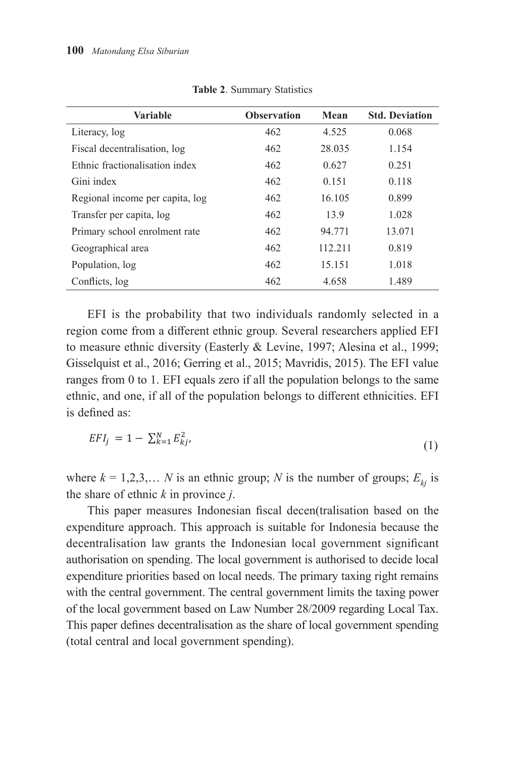| <b>Variable</b>                 | <b>Observation</b> | Mean    | <b>Std. Deviation</b> |
|---------------------------------|--------------------|---------|-----------------------|
| Literacy, log                   | 462                | 4.525   | 0.068                 |
| Fiscal decentralisation, log    | 462                | 28.035  | 1.154                 |
| Ethnic fractionalisation index  | 462                | 0.627   | 0.251                 |
| Gini index                      | 462                | 0.151   | 0.118                 |
| Regional income per capita, log | 462                | 16.105  | 0.899                 |
| Transfer per capita, log        | 462                | 13.9    | 1.028                 |
| Primary school enrolment rate   | 462                | 94.771  | 13.071                |
| Geographical area               | 462                | 112.211 | 0.819                 |
| Population, log                 | 462                | 15.151  | 1.018                 |
| Conflicts, log                  | 462                | 4.658   | 1.489                 |

**Table 2**. Summary Statistics

EFI is the probability that two individuals randomly selected in a region come from a different ethnic group. Several researchers applied EFI to measure ethnic diversity (Easterly & Levine, 1997; Alesina et al., 1999; Gisselquist et al., 2016; Gerring et al., 2015; Mavridis, 2015). The EFI value ranges from 0 to 1. EFI equals zero if all the population belongs to the same ethnic, and one, if all of the population belongs to different ethnicities. EFI is defined as:

$$
EFI_j = 1 - \sum_{k=1}^{N} E_{kj}^2,
$$
\n(1)

where  $k = 1, 2, 3, \dots N$  is an ethnic group; N is the number of groups;  $E_{kj}$  is the share of ethnic  $k$  in province  $j$ .

expenditure approach. This approach is suitable for Indonesia because the expenditure approach. This approach is suitable for Indonesia because the decentralisation law grants the Indonesian local government significant authorisation on spending. The local government is authorised to decide local expenditure priorities based on local needs. The primary taxing right remains with the central government. The central government limits the taxing power Law Number 28/2009 regarding Local Tax. This paper defines decentralisation as the share of This paper defines decentralisation as the share of local government spending local government spending (total central and local government spending). (total central and local government spending).This paper measures Indonesian fiscal decen(tralisation based on the of the local government based on Law Number 28/2009 regarding Local Tax.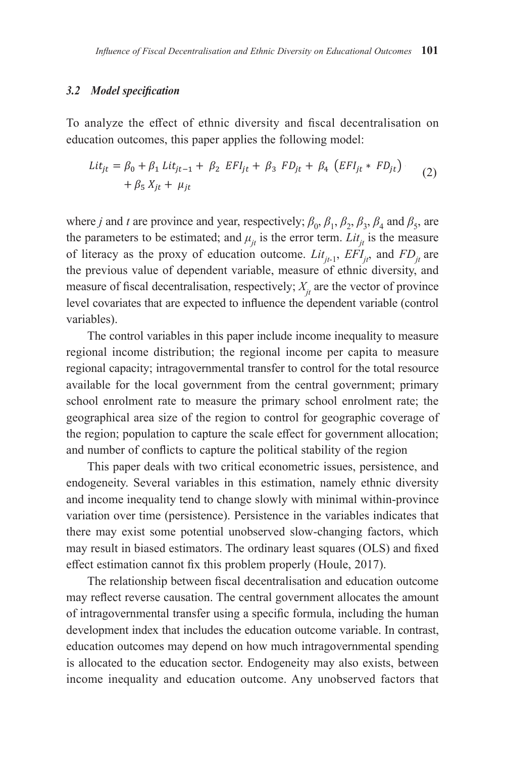# *3.2 Model specification 3.2. Model specification*

To analyze the effect of ethnic diversity and fiscal decentralisation on education outcomes, this paper applies the following model:

$$
Lit_{jt} = \beta_0 + \beta_1 Lit_{jt-1} + \beta_2 EFI_{jt} + \beta_3 FD_{jt} + \beta_4 (EFI_{jt} * FD_{jt})
$$
  
+  $\beta_5 X_{jt} + \mu_{jt}$  (2)

where *j* and *t* are province and year, respectively;  $\beta_0$ ,  $\beta_1$ ,  $\beta_2$ ,  $\beta_3$ ,  $\beta_4$  and  $\beta_5$ , are the parameters to be estimated; and  $\mu_{it}$  is the error term. *Lit<sub>t</sub>* is the measure of literacy as the proxy of education outcome.  $Lit_{it-1}$ ,  $EFI_{it}$ , and  $FD_{it}$  are the previous value of dependent variable, measure of ethnic diversity, and measure of fiscal decentralisation, respectively;  $X_{it}$  are the vector of province level covariates that are expected to influence the dependent variable (control variables).

The control variables in this paper include income inequality to measure regional income distribution; the regional income per capita to measure regional capacity; intragovernmental transfer to control for the total resource available for the local government from the central government; primary school enrolment rate to measure the primary school enrolment rate; the geographical area size of the region to control for geographic coverage of the region; population to capture the scale effect for government allocation; and number of conflicts to capture the political stability of the region

This paper deals with two critical econometric issues, persistence, and endogeneity. Several variables in this estimation, namely ethnic diversity and income inequality tend to change slowly with minimal within-province variation over time (persistence). Persistence in the variables indicates that there may exist some potential unobserved slow-changing factors, which may result in biased estimators. The ordinary least squares (OLS) and fixed effect estimation cannot fix this problem properly (Houle, 2017).

The relationship between fiscal decentralisation and education outcome may reflect reverse causation. The central government allocates the amount of intragovernmental transfer using a specific formula, including the human development index that includes the education outcome variable. In contrast, education outcomes may depend on how much intragovernmental spending is allocated to the education sector. Endogeneity may also exists, between income inequality and education outcome. Any unobserved factors that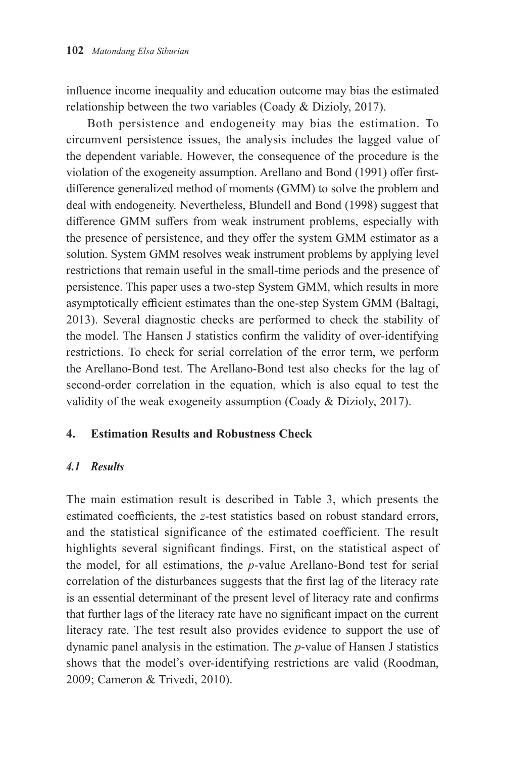influence income inequality and education outcome may bias the estimated relationship between the two variables (Coady & Dizioly, 2017).

Both persistence and endogeneity may bias the estimation. To circumvent persistence issues, the analysis includes the lagged value of the dependent variable. However, the consequence of the procedure is the violation of the exogeneity assumption. Arellano and Bond (1991) offer firstdifference generalized method of moments (GMM) to solve the problem and deal with endogeneity. Nevertheless, Blundell and Bond (1998) suggest that difference GMM suffers from weak instrument problems, especially with the presence of persistence, and they offer the system GMM estimator as a solution. System GMM resolves weak instrument problems by applying level restrictions that remain useful in the small-time periods and the presence of persistence. This paper uses a two-step System GMM, which results in more asymptotically efficient estimates than the one-step System GMM (Baltagi, 2013). Several diagnostic checks are performed to check the stability of the model. The Hansen J statistics confirm the validity of over-identifying restrictions. To check for serial correlation of the error term, we perform the Arellano-Bond test. The Arellano-Bond test also checks for the lag of second-order correlation in the equation, which is also equal to test the validity of the weak exogeneity assumption (Coady & Dizioly, 2017).

## **4. Estimation Results and Robustness Check**

### *4.1 Results*

The main estimation result is described in Table 3, which presents the estimated coefficients, the *z*-test statistics based on robust standard errors, and the statistical significance of the estimated coefficient. The result highlights several significant findings. First, on the statistical aspect of the model, for all estimations, the *p*-value Arellano-Bond test for serial correlation of the disturbances suggests that the first lag of the literacy rate is an essential determinant of the present level of literacy rate and confirms that further lags of the literacy rate have no significant impact on the current literacy rate. The test result also provides evidence to support the use of dynamic panel analysis in the estimation. The *p*-value of Hansen J statistics shows that the model's over-identifying restrictions are valid (Roodman, 2009; Cameron & Trivedi, 2010).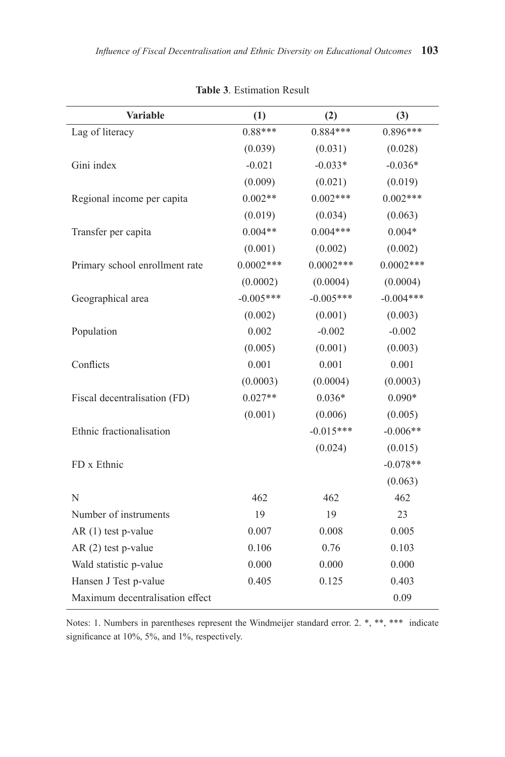| Variable                        | (1)         | (2)         | (3)         |
|---------------------------------|-------------|-------------|-------------|
| Lag of literacy                 | $0.88***$   | $0.884***$  | $0.896***$  |
|                                 | (0.039)     | (0.031)     | (0.028)     |
| Gini index                      | $-0.021$    | $-0.033*$   | $-0.036*$   |
|                                 | (0.009)     | (0.021)     | (0.019)     |
| Regional income per capita      | $0.002**$   | $0.002***$  | $0.002***$  |
|                                 | (0.019)     | (0.034)     | (0.063)     |
| Transfer per capita             | $0.004**$   | $0.004***$  | $0.004*$    |
|                                 | (0.001)     | (0.002)     | (0.002)     |
| Primary school enrollment rate  | $0.0002***$ | $0.0002***$ | $0.0002***$ |
|                                 | (0.0002)    | (0.0004)    | (0.0004)    |
| Geographical area               | $-0.005***$ | $-0.005***$ | $-0.004***$ |
|                                 | (0.002)     | (0.001)     | (0.003)     |
| Population                      | 0.002       | $-0.002$    | $-0.002$    |
|                                 | (0.005)     | (0.001)     | (0.003)     |
| Conflicts                       | 0.001       | 0.001       | 0.001       |
|                                 | (0.0003)    | (0.0004)    | (0.0003)    |
| Fiscal decentralisation (FD)    | $0.027**$   | $0.036*$    | $0.090*$    |
|                                 | (0.001)     | (0.006)     | (0.005)     |
| Ethnic fractionalisation        |             | $-0.015***$ | $-0.006**$  |
|                                 |             | (0.024)     | (0.015)     |
| FD x Ethnic                     |             |             | $-0.078**$  |
|                                 |             |             | (0.063)     |
| N                               | 462         | 462         | 462         |
| Number of instruments           | 19          | 19          | 23          |
| AR (1) test p-value             | 0.007       | 0.008       | 0.005       |
| AR (2) test p-value             | 0.106       | 0.76        | 0.103       |
| Wald statistic p-value          | 0.000       | 0.000       | 0.000       |
| Hansen J Test p-value           | 0.405       | 0.125       | 0.403       |
| Maximum decentralisation effect |             |             | 0.09        |

**Table 3**. Estimation Result

Notes: 1. Numbers in parentheses represent the Windmeijer standard error. 2. \*, \*\*, \*\*\* indicate significance at 10%, 5%, and 1%, respectively.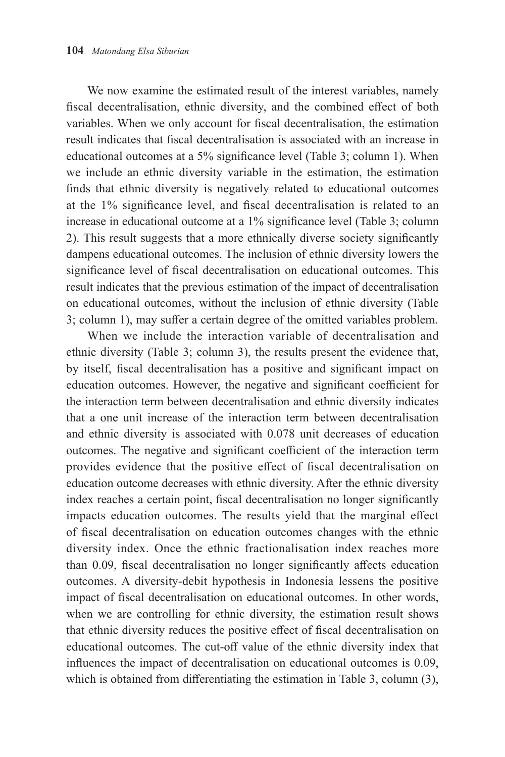We now examine the estimated result of the interest variables, namely fiscal decentralisation, ethnic diversity, and the combined effect of both variables. When we only account for fiscal decentralisation, the estimation result indicates that fiscal decentralisation is associated with an increase in educational outcomes at a 5% significance level (Table 3; column 1). When we include an ethnic diversity variable in the estimation, the estimation finds that ethnic diversity is negatively related to educational outcomes at the 1% significance level, and fiscal decentralisation is related to an increase in educational outcome at a 1% significance level (Table 3; column 2). This result suggests that a more ethnically diverse society significantly dampens educational outcomes. The inclusion of ethnic diversity lowers the significance level of fiscal decentralisation on educational outcomes. This result indicates that the previous estimation of the impact of decentralisation on educational outcomes, without the inclusion of ethnic diversity (Table 3; column 1), may suffer a certain degree of the omitted variables problem.

When we include the interaction variable of decentralisation and ethnic diversity (Table 3; column 3), the results present the evidence that, by itself, fiscal decentralisation has a positive and significant impact on education outcomes. However, the negative and significant coefficient for the interaction term between decentralisation and ethnic diversity indicates that a one unit increase of the interaction term between decentralisation and ethnic diversity is associated with 0.078 unit decreases of education outcomes. The negative and significant coefficient of the interaction term provides evidence that the positive effect of fiscal decentralisation on education outcome decreases with ethnic diversity. After the ethnic diversity index reaches a certain point, fiscal decentralisation no longer significantly impacts education outcomes. The results yield that the marginal effect of fiscal decentralisation on education outcomes changes with the ethnic diversity index. Once the ethnic fractionalisation index reaches more than 0.09, fiscal decentralisation no longer significantly affects education outcomes. A diversity-debit hypothesis in Indonesia lessens the positive impact of fiscal decentralisation on educational outcomes. In other words, when we are controlling for ethnic diversity, the estimation result shows that ethnic diversity reduces the positive effect of fiscal decentralisation on educational outcomes. The cut-off value of the ethnic diversity index that influences the impact of decentralisation on educational outcomes is 0.09, which is obtained from differentiating the estimation in Table 3, column (3),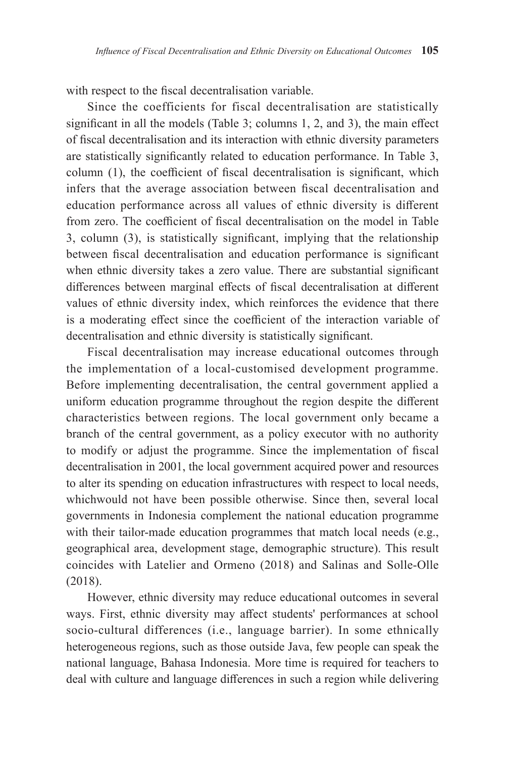with respect to the fiscal decentralisation variable.

Since the coefficients for fiscal decentralisation are statistically significant in all the models (Table 3; columns 1, 2, and 3), the main effect of fiscal decentralisation and its interaction with ethnic diversity parameters are statistically significantly related to education performance. In Table 3, column (1), the coefficient of fiscal decentralisation is significant, which infers that the average association between fiscal decentralisation and education performance across all values of ethnic diversity is different from zero. The coefficient of fiscal decentralisation on the model in Table 3, column (3), is statistically significant, implying that the relationship between fiscal decentralisation and education performance is significant when ethnic diversity takes a zero value. There are substantial significant differences between marginal effects of fiscal decentralisation at different values of ethnic diversity index, which reinforces the evidence that there is a moderating effect since the coefficient of the interaction variable of decentralisation and ethnic diversity is statistically significant.

Fiscal decentralisation may increase educational outcomes through the implementation of a local-customised development programme. Before implementing decentralisation, the central government applied a uniform education programme throughout the region despite the different characteristics between regions. The local government only became a branch of the central government, as a policy executor with no authority to modify or adjust the programme. Since the implementation of fiscal decentralisation in 2001, the local government acquired power and resources to alter its spending on education infrastructures with respect to local needs, whichwould not have been possible otherwise. Since then, several local governments in Indonesia complement the national education programme with their tailor-made education programmes that match local needs (e.g., geographical area, development stage, demographic structure). This result coincides with Latelier and Ormeno (2018) and Salinas and Solle-Olle (2018).

However, ethnic diversity may reduce educational outcomes in several ways. First, ethnic diversity may affect students' performances at school socio-cultural differences (i.e., language barrier). In some ethnically heterogeneous regions, such as those outside Java, few people can speak the national language, Bahasa Indonesia. More time is required for teachers to deal with culture and language differences in such a region while delivering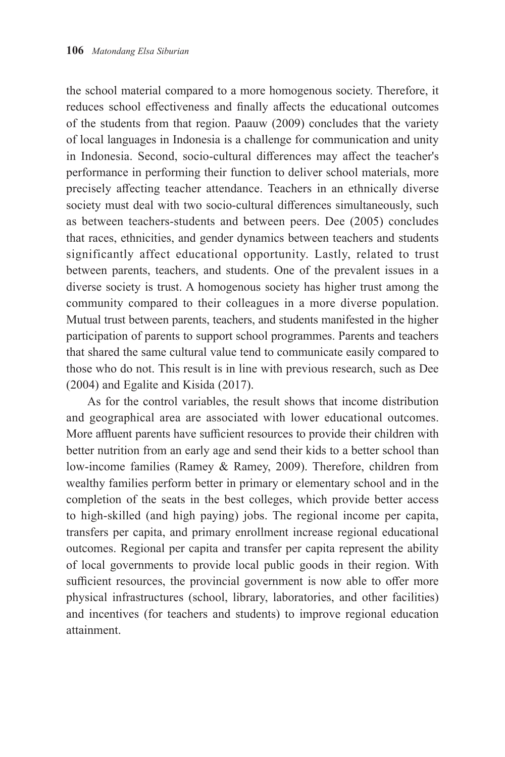the school material compared to a more homogenous society. Therefore, it reduces school effectiveness and finally affects the educational outcomes of the students from that region. Paauw (2009) concludes that the variety of local languages in Indonesia is a challenge for communication and unity in Indonesia. Second, socio-cultural differences may affect the teacher's performance in performing their function to deliver school materials, more precisely affecting teacher attendance. Teachers in an ethnically diverse society must deal with two socio-cultural differences simultaneously, such as between teachers-students and between peers. Dee (2005) concludes that races, ethnicities, and gender dynamics between teachers and students significantly affect educational opportunity. Lastly, related to trust between parents, teachers, and students. One of the prevalent issues in a diverse society is trust. A homogenous society has higher trust among the community compared to their colleagues in a more diverse population. Mutual trust between parents, teachers, and students manifested in the higher participation of parents to support school programmes. Parents and teachers that shared the same cultural value tend to communicate easily compared to those who do not. This result is in line with previous research, such as Dee (2004) and Egalite and Kisida (2017).

As for the control variables, the result shows that income distribution and geographical area are associated with lower educational outcomes. More affluent parents have sufficient resources to provide their children with better nutrition from an early age and send their kids to a better school than low-income families (Ramey & Ramey, 2009). Therefore, children from wealthy families perform better in primary or elementary school and in the completion of the seats in the best colleges, which provide better access to high-skilled (and high paying) jobs. The regional income per capita, transfers per capita, and primary enrollment increase regional educational outcomes. Regional per capita and transfer per capita represent the ability of local governments to provide local public goods in their region. With sufficient resources, the provincial government is now able to offer more physical infrastructures (school, library, laboratories, and other facilities) and incentives (for teachers and students) to improve regional education attainment.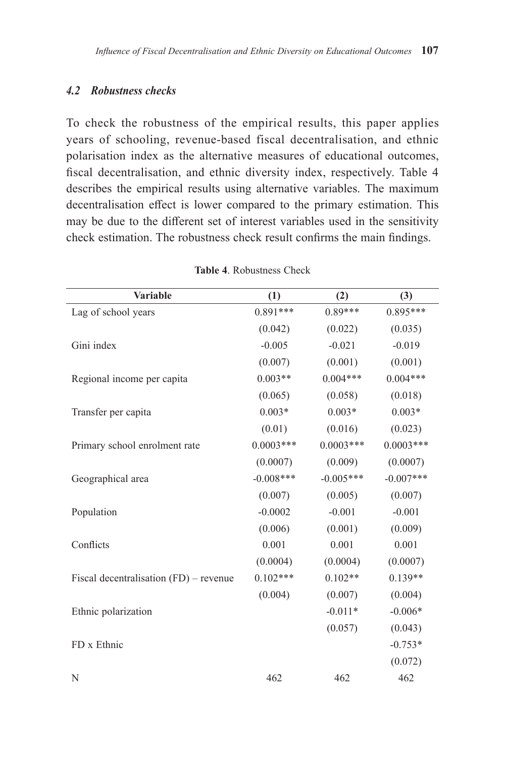## *4.2 Robustness checks*

To check the robustness of the empirical results, this paper applies years of schooling, revenue-based fiscal decentralisation, and ethnic polarisation index as the alternative measures of educational outcomes, fiscal decentralisation, and ethnic diversity index, respectively. Table 4 describes the empirical results using alternative variables. The maximum decentralisation effect is lower compared to the primary estimation. This may be due to the different set of interest variables used in the sensitivity check estimation. The robustness check result confirms the main findings.

| <b>Variable</b>                          | (1)         | (2)         | (3)         |
|------------------------------------------|-------------|-------------|-------------|
| Lag of school years                      | $0.891***$  | $0.89***$   | $0.895***$  |
|                                          | (0.042)     | (0.022)     | (0.035)     |
| Gini index                               | $-0.005$    | $-0.021$    | $-0.019$    |
|                                          | (0.007)     | (0.001)     | (0.001)     |
| Regional income per capita               | $0.003**$   | $0.004***$  | $0.004***$  |
|                                          | (0.065)     | (0.058)     | (0.018)     |
| Transfer per capita                      | $0.003*$    | $0.003*$    | $0.003*$    |
|                                          | (0.01)      | (0.016)     | (0.023)     |
| Primary school enrolment rate            | $0.0003***$ | $0.0003***$ | $0.0003***$ |
|                                          | (0.0007)    | (0.009)     | (0.0007)    |
| Geographical area                        | $-0.008***$ | $-0.005***$ | $-0.007***$ |
|                                          | (0.007)     | (0.005)     | (0.007)     |
| Population                               | $-0.0002$   | $-0.001$    | $-0.001$    |
|                                          | (0.006)     | (0.001)     | (0.009)     |
| Conflicts                                | 0.001       | 0.001       | 0.001       |
|                                          | (0.0004)    | (0.0004)    | (0.0007)    |
| Fiscal decentralisation $(FD)$ – revenue | $0.102***$  | $0.102**$   | $0.139**$   |
|                                          | (0.004)     | (0.007)     | (0.004)     |
| Ethnic polarization                      |             | $-0.011*$   | $-0.006*$   |
|                                          |             | (0.057)     | (0.043)     |
| FD x Ethnic                              |             |             | $-0.753*$   |
|                                          |             |             | (0.072)     |
| N                                        | 462         | 462         | 462         |

**Table 4**. Robustness Check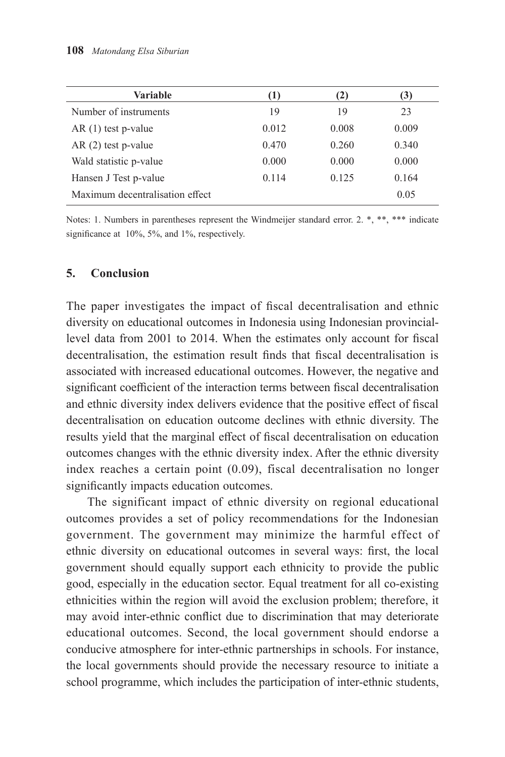| Variable                        | (1)   | (2)   | (3)   |
|---------------------------------|-------|-------|-------|
| Number of instruments           | 19    | 19    | 23    |
| $AR(1)$ test p-value            | 0.012 | 0.008 | 0.009 |
| $AR(2)$ test p-value            | 0.470 | 0.260 | 0.340 |
| Wald statistic p-value          | 0.000 | 0.000 | 0.000 |
| Hansen J Test p-value           | 0.114 | 0.125 | 0.164 |
| Maximum decentralisation effect |       |       | 0.05  |

Notes: 1. Numbers in parentheses represent the Windmeijer standard error. 2. \*, \*\*, \*\*\* indicate significance at 10%, 5%, and 1%, respectively.

### **5. Conclusion**

The paper investigates the impact of fiscal decentralisation and ethnic diversity on educational outcomes in Indonesia using Indonesian provinciallevel data from 2001 to 2014. When the estimates only account for fiscal decentralisation, the estimation result finds that fiscal decentralisation is associated with increased educational outcomes. However, the negative and significant coefficient of the interaction terms between fiscal decentralisation and ethnic diversity index delivers evidence that the positive effect of fiscal decentralisation on education outcome declines with ethnic diversity. The results yield that the marginal effect of fiscal decentralisation on education outcomes changes with the ethnic diversity index. After the ethnic diversity index reaches a certain point (0.09), fiscal decentralisation no longer significantly impacts education outcomes.

The significant impact of ethnic diversity on regional educational outcomes provides a set of policy recommendations for the Indonesian government. The government may minimize the harmful effect of ethnic diversity on educational outcomes in several ways: first, the local government should equally support each ethnicity to provide the public good, especially in the education sector. Equal treatment for all co-existing ethnicities within the region will avoid the exclusion problem; therefore, it may avoid inter-ethnic conflict due to discrimination that may deteriorate educational outcomes. Second, the local government should endorse a conducive atmosphere for inter-ethnic partnerships in schools. For instance, the local governments should provide the necessary resource to initiate a school programme, which includes the participation of inter-ethnic students,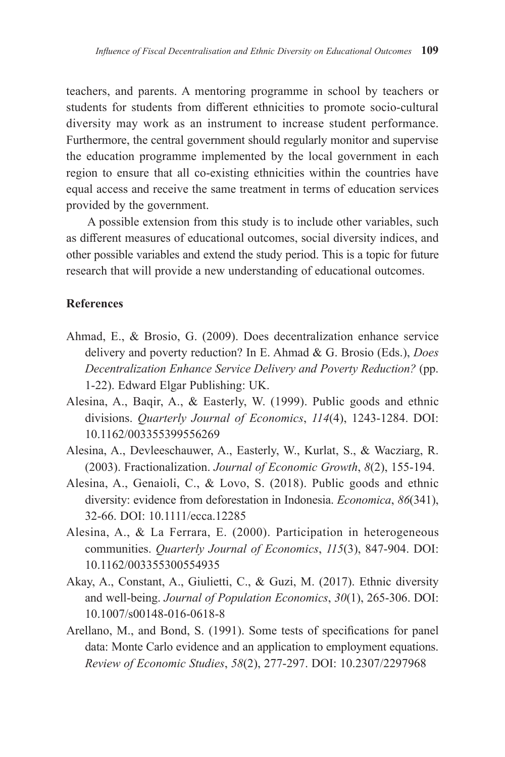teachers, and parents. A mentoring programme in school by teachers or students for students from different ethnicities to promote socio-cultural diversity may work as an instrument to increase student performance. Furthermore, the central government should regularly monitor and supervise the education programme implemented by the local government in each region to ensure that all co-existing ethnicities within the countries have equal access and receive the same treatment in terms of education services provided by the government.

A possible extension from this study is to include other variables, such as different measures of educational outcomes, social diversity indices, and other possible variables and extend the study period. This is a topic for future research that will provide a new understanding of educational outcomes.

#### **References**

- Ahmad, E., & Brosio, G. (2009). Does decentralization enhance service delivery and poverty reduction? In E. Ahmad & G. Brosio (Eds.), *Does Decentralization Enhance Service Delivery and Poverty Reduction?* (pp. 1-22). Edward Elgar Publishing: UK.
- Alesina, A., Baqir, A., & Easterly, W. (1999). Public goods and ethnic divisions. *Quarterly Journal of Economics*, *114*(4), 1243-1284. DOI: 10.1162/003355399556269
- Alesina, A., Devleeschauwer, A., Easterly, W., Kurlat, S., & Wacziarg, R. (2003). Fractionalization. *Journal of Economic Growth*, *8*(2), 155-194.
- Alesina, A., Genaioli, C., & Lovo, S. (2018). Public goods and ethnic diversity: evidence from deforestation in Indonesia. *Economica*, *86*(341), 32-66. DOI: 10.1111/ecca.12285
- Alesina, A., & La Ferrara, E. (2000). Participation in heterogeneous communities. *Quarterly Journal of Economics*, *115*(3), 847-904. DOI: 10.1162/003355300554935
- Akay, A., Constant, A., Giulietti, C., & Guzi, M. (2017). Ethnic diversity and well-being. *Journal of Population Economics*, *30*(1), 265-306. DOI: 10.1007/s00148-016-0618-8
- Arellano, M., and Bond, S. (1991). Some tests of specifications for panel data: Monte Carlo evidence and an application to employment equations. *Review of Economic Studies*, *58*(2), 277-297. DOI: 10.2307/2297968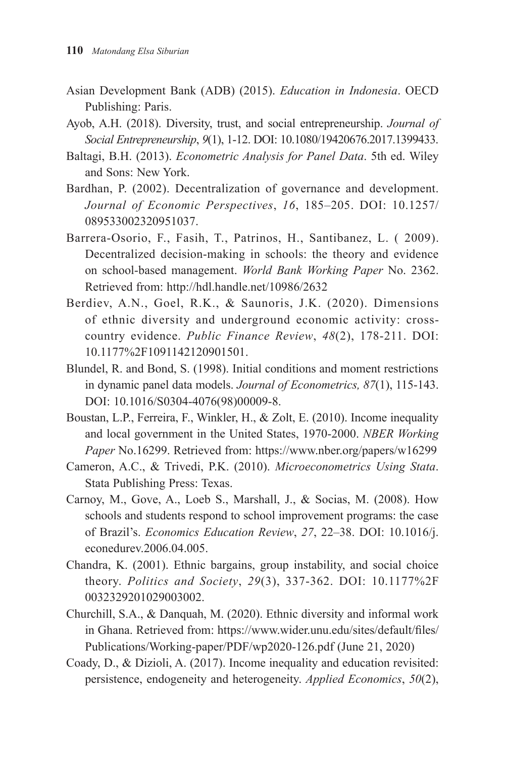- Asian Development Bank (ADB) (2015). *Education in Indonesia*. OECD Publishing: Paris.
- Ayob, A.H. (2018). Diversity, trust, and social entrepreneurship. *Journal of Social Entrepreneurship*, *9*(1), 1-12. DOI: 10.1080/19420676.2017.1399433.
- Baltagi, B.H. (2013). *Econometric Analysis for Panel Data*. 5th ed. Wiley and Sons: New York.
- Bardhan, P. (2002). Decentralization of governance and development. *Journal of Economic Perspectives*, *16*, 185–205. DOI: 10.1257/ 089533002320951037.
- Barrera-Osorio, F., Fasih, T., Patrinos, H., Santibanez, L. ( 2009). Decentralized decision-making in schools: the theory and evidence on school-based management. *World Bank Working Paper* No. 2362. Retrieved from: http://hdl.handle.net/10986/2632
- Berdiev, A.N., Goel, R.K., & Saunoris, J.K. (2020). Dimensions of ethnic diversity and underground economic activity: crosscountry evidence. *Public Finance Review*, *48*(2), 178-211. DOI: 10.1177%2F1091142120901501.
- Blundel, R. and Bond, S. (1998). Initial conditions and moment restrictions in dynamic panel data models. *Journal of Econometrics, 87*(1), 115-143. DOI: 10.1016/S0304-4076(98)00009-8.
- Boustan, L.P., Ferreira, F., Winkler, H., & Zolt, E. (2010). Income inequality and local government in the United States, 1970-2000. *NBER Working Paper* No.16299. Retrieved from: https://www.nber.org/papers/w16299
- Cameron, A.C., & Trivedi, P.K. (2010). *Microeconometrics Using Stata*. Stata Publishing Press: Texas.
- Carnoy, M., Gove, A., Loeb S., Marshall, J., & Socias, M. (2008). How schools and students respond to school improvement programs: the case of Brazil's. *Economics Education Review*, *27*, 22–38. DOI: 10.1016/j. econedurev.2006.04.005.
- Chandra, K. (2001). Ethnic bargains, group instability, and social choice theory. *Politics and Society*, *29*(3), 337-362. DOI: 10.1177%2F 0032329201029003002.
- Churchill, S.A., & Danquah, M. (2020). Ethnic diversity and informal work in Ghana. Retrieved from: https://www.wider.unu.edu/sites/default/files/ Publications/Working-paper/PDF/wp2020-126.pdf (June 21, 2020)
- Coady, D., & Dizioli, A. (2017). Income inequality and education revisited: persistence, endogeneity and heterogeneity. *Applied Economics*, *50*(2),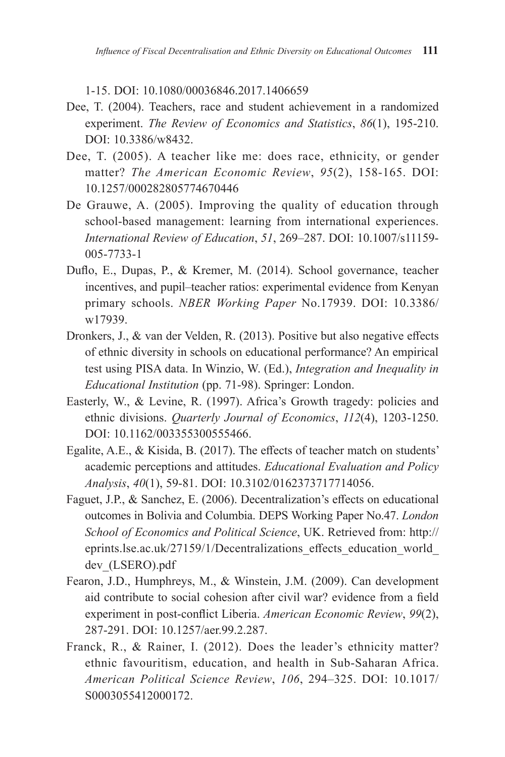1-15. DOI: 10.1080/00036846.2017.1406659

- Dee, T. (2004). Teachers, race and student achievement in a randomized experiment. *The Review of Economics and Statistics*, *86*(1), 195-210. DOI: 10.3386/w8432.
- Dee, T. (2005). A teacher like me: does race, ethnicity, or gender matter? *The American Economic Review*, *95*(2), 158-165. DOI: 10.1257/000282805774670446
- De Grauwe, A. (2005). Improving the quality of education through school-based management: learning from international experiences. *International Review of Education*, *51*, 269–287. DOI: 10.1007/s11159- 005-7733-1
- Duflo, E., Dupas, P., & Kremer, M. (2014). School governance, teacher incentives, and pupil–teacher ratios: experimental evidence from Kenyan primary schools. *NBER Working Paper* No.17939. DOI: 10.3386/ w17939.
- Dronkers, J., & van der Velden, R. (2013). Positive but also negative effects of ethnic diversity in schools on educational performance? An empirical test using PISA data. In Winzio, W. (Ed.), *Integration and Inequality in Educational Institution* (pp. 71-98). Springer: London.
- Easterly, W., & Levine, R. (1997). Africa's Growth tragedy: policies and ethnic divisions. *Quarterly Journal of Economics*, *112*(4), 1203-1250. DOI: 10.1162/003355300555466.
- Egalite, A.E., & Kisida, B. (2017). The effects of teacher match on students' academic perceptions and attitudes. *Educational Evaluation and Policy Analysis*, *40*(1), 59-81. DOI: 10.3102/0162373717714056.
- Faguet, J.P., & Sanchez, E. (2006). Decentralization's effects on educational outcomes in Bolivia and Columbia. DEPS Working Paper No.47. *London School of Economics and Political Science*, UK. Retrieved from: http:// eprints.lse.ac.uk/27159/1/Decentralizations\_effects\_education\_world\_ dev\_(LSERO).pdf
- Fearon, J.D., Humphreys, M., & Winstein, J.M. (2009). Can development aid contribute to social cohesion after civil war? evidence from a field experiment in post-conflict Liberia. *American Economic Review*, *99*(2), 287-291. DOI: 10.1257/aer.99.2.287.
- Franck, R., & Rainer, I. (2012). Does the leader's ethnicity matter? ethnic favouritism, education, and health in Sub-Saharan Africa. *American Political Science Review*, *106*, 294–325. DOI: 10.1017/ S0003055412000172.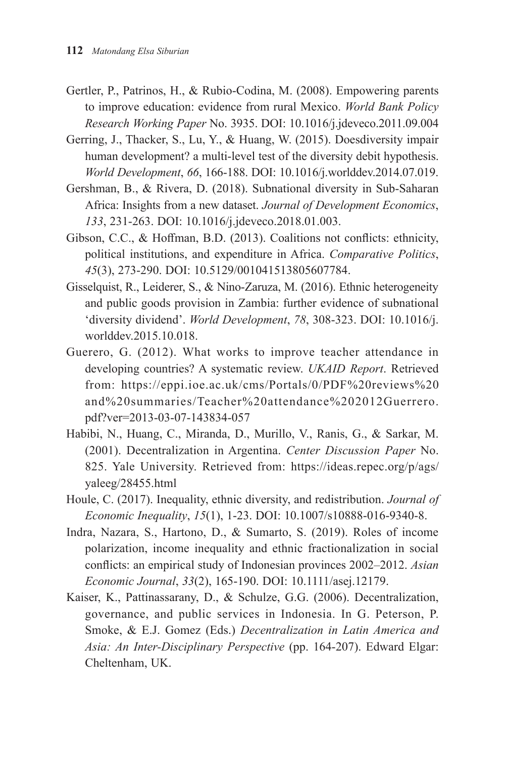- Gertler, P., Patrinos, H., & Rubio-Codina, M. (2008). Empowering parents to improve education: evidence from rural Mexico. *World Bank Policy Research Working Paper* No. 3935. DOI: 10.1016/j.jdeveco.2011.09.004
- Gerring, J., Thacker, S., Lu, Y., & Huang, W. (2015). Doesdiversity impair human development? a multi-level test of the diversity debit hypothesis. *World Development*, *66*, 166-188. DOI: 10.1016/j.worlddev.2014.07.019.
- Gershman, B., & Rivera, D. (2018). Subnational diversity in Sub-Saharan Africa: Insights from a new dataset. *Journal of Development Economics*, *133*, 231-263. DOI: 10.1016/j.jdeveco.2018.01.003.
- Gibson, C.C., & Hoffman, B.D. (2013). Coalitions not conflicts: ethnicity, political institutions, and expenditure in Africa. *Comparative Politics*, *45*(3), 273-290. DOI: 10.5129/001041513805607784.
- Gisselquist, R., Leiderer, S., & Nino-Zaruza, M. (2016). Ethnic heterogeneity and public goods provision in Zambia: further evidence of subnational 'diversity dividend'. *World Development*, *78*, 308-323. DOI: 10.1016/j. worlddev.2015.10.018.
- Guerero, G. (2012). What works to improve teacher attendance in developing countries? A systematic review. *UKAID Report*. Retrieved from: https://eppi.ioe.ac.uk/cms/Portals/0/PDF%20reviews%20 and%20summaries/Teacher%20attendance%202012Guerrero. pdf?ver=2013-03-07-143834-057
- Habibi, N., Huang, C., Miranda, D., Murillo, V., Ranis, G., & Sarkar, M. (2001). Decentralization in Argentina. *Center Discussion Paper* No. 825. Yale University. Retrieved from: https://ideas.repec.org/p/ags/ yaleeg/28455.html
- Houle, C. (2017). Inequality, ethnic diversity, and redistribution. *Journal of Economic Inequality*, *15*(1), 1-23. DOI: 10.1007/s10888-016-9340-8.
- Indra, Nazara, S., Hartono, D., & Sumarto, S. (2019). Roles of income polarization, income inequality and ethnic fractionalization in social conflicts: an empirical study of Indonesian provinces 2002–2012. *Asian Economic Journal*, *33*(2), 165-190. DOI: 10.1111/asej.12179.
- Kaiser, K., Pattinassarany, D., & Schulze, G.G. (2006). Decentralization, governance, and public services in Indonesia. In G. Peterson, P. Smoke, & E.J. Gomez (Eds.) *Decentralization in Latin America and Asia: An Inter-Disciplinary Perspective* (pp. 164-207). Edward Elgar: Cheltenham, UK.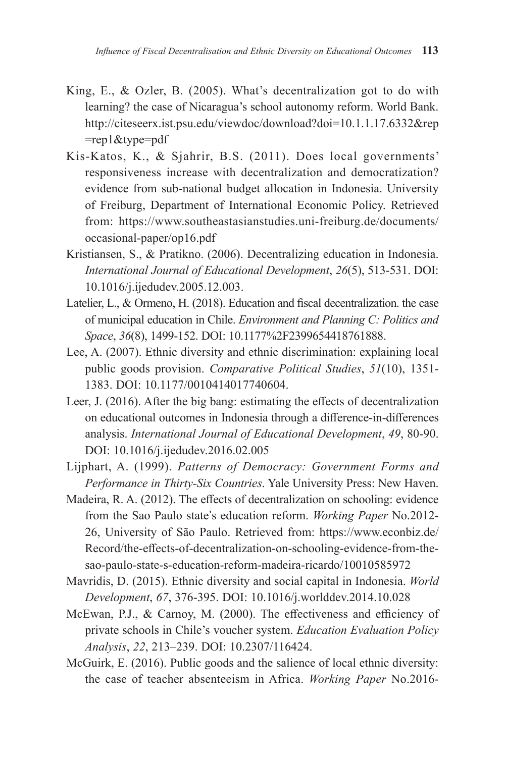- King, E., & Ozler, B. (2005). What's decentralization got to do with learning? the case of Nicaragua's school autonomy reform. World Bank. http://citeseerx.ist.psu.edu/viewdoc/download?doi=10.1.1.17.6332&rep =rep1&type=pdf
- Kis-Katos, K., & Sjahrir, B.S. (2011). Does local governments' responsiveness increase with decentralization and democratization? evidence from sub-national budget allocation in Indonesia. University of Freiburg, Department of International Economic Policy. Retrieved from: https://www.southeastasianstudies.uni-freiburg.de/documents/ occasional-paper/op16.pdf
- Kristiansen, S., & Pratikno. (2006). Decentralizing education in Indonesia. *International Journal of Educational Development*, *26*(5), 513-531. DOI: 10.1016/j.ijedudev.2005.12.003.
- Latelier, L., & Ormeno, H. (2018). Education and fiscal decentralization. the case of municipal education in Chile. *Environment and Planning C: Politics and Space*, *36*(8), 1499-152. DOI: 10.1177%2F2399654418761888.
- Lee, A. (2007). Ethnic diversity and ethnic discrimination: explaining local public goods provision. *Comparative Political Studies*, *51*(10), 1351- 1383. DOI: 10.1177/0010414017740604.
- Leer, J. (2016). After the big bang: estimating the effects of decentralization on educational outcomes in Indonesia through a difference-in-differences analysis. *International Journal of Educational Development*, *49*, 80-90. DOI: 10.1016/j.ijedudev.2016.02.005
- Lijphart, A. (1999). *Patterns of Democracy: Government Forms and Performance in Thirty-Six Countries*. Yale University Press: New Haven.
- Madeira, R. A. (2012). The effects of decentralization on schooling: evidence from the Sao Paulo state's education reform. *Working Paper* No.2012- 26, University of São Paulo. Retrieved from: https://www.econbiz.de/ Record/the-effects-of-decentralization-on-schooling-evidence-from-thesao-paulo-state-s-education-reform-madeira-ricardo/10010585972
- Mavridis, D. (2015). Ethnic diversity and social capital in Indonesia. *World Development*, *67*, 376-395. DOI: 10.1016/j.worlddev.2014.10.028
- McEwan, P.J., & Carnoy, M. (2000). The effectiveness and efficiency of private schools in Chile's voucher system. *Education Evaluation Policy Analysis*, *22*, 213–239. DOI: 10.2307/116424.
- McGuirk, E. (2016). Public goods and the salience of local ethnic diversity: the case of teacher absenteeism in Africa. *Working Paper* No.2016-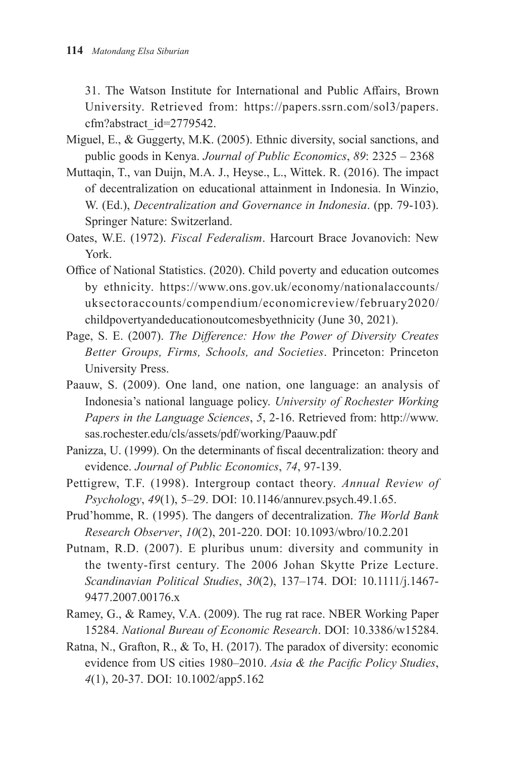31. The Watson Institute for International and Public Affairs, Brown University. Retrieved from: https://papers.ssrn.com/sol3/papers. cfm?abstract\_id=2779542.

- Miguel, E., & Guggerty, M.K. (2005). Ethnic diversity, social sanctions, and public goods in Kenya. *Journal of Public Economics*, *89*: 2325 – 2368
- Muttaqin, T., van Duijn, M.A. J., Heyse., L., Wittek. R. (2016). The impact of decentralization on educational attainment in Indonesia. In Winzio, W. (Ed.), *Decentralization and Governance in Indonesia*. (pp. 79-103). Springer Nature: Switzerland.
- Oates, W.E. (1972). *Fiscal Federalism*. Harcourt Brace Jovanovich: New York.
- Office of National Statistics. (2020). Child poverty and education outcomes by ethnicity. https://www.ons.gov.uk/economy/nationalaccounts/ uksectoraccounts/compendium/economicreview/february2020/ childpovertyandeducationoutcomesbyethnicity (June 30, 2021).
- Page, S. E. (2007). *The Difference: How the Power of Diversity Creates Better Groups, Firms, Schools, and Societies*. Princeton: Princeton University Press.
- Paauw, S. (2009). One land, one nation, one language: an analysis of Indonesia's national language policy. *University of Rochester Working Papers in the Language Sciences*, *5*, 2-16. Retrieved from: http://www. sas.rochester.edu/cls/assets/pdf/working/Paauw.pdf
- Panizza, U. (1999). On the determinants of fiscal decentralization: theory and evidence. *Journal of Public Economics*, *74*, 97-139.
- Pettigrew, T.F. (1998). Intergroup contact theory. *Annual Review of Psychology*, *49*(1), 5–29. DOI: 10.1146/annurev.psych.49.1.65.
- Prud'homme, R. (1995). The dangers of decentralization. *The World Bank Research Observer*, *10*(2), 201-220. DOI: 10.1093/wbro/10.2.201
- Putnam, R.D. (2007). E pluribus unum: diversity and community in the twenty-first century. The 2006 Johan Skytte Prize Lecture. *Scandinavian Political Studies*, *30*(2), 137–174. DOI: 10.1111/j.1467- 9477.2007.00176.x
- Ramey, G., & Ramey, V.A. (2009). The rug rat race. NBER Working Paper 15284. *National Bureau of Economic Research*. DOI: 10.3386/w15284.
- Ratna, N., Grafton, R., & To, H. (2017). The paradox of diversity: economic evidence from US cities 1980–2010. *Asia & the Pacific Policy Studies*, *4*(1), 20-37. DOI: 10.1002/app5.162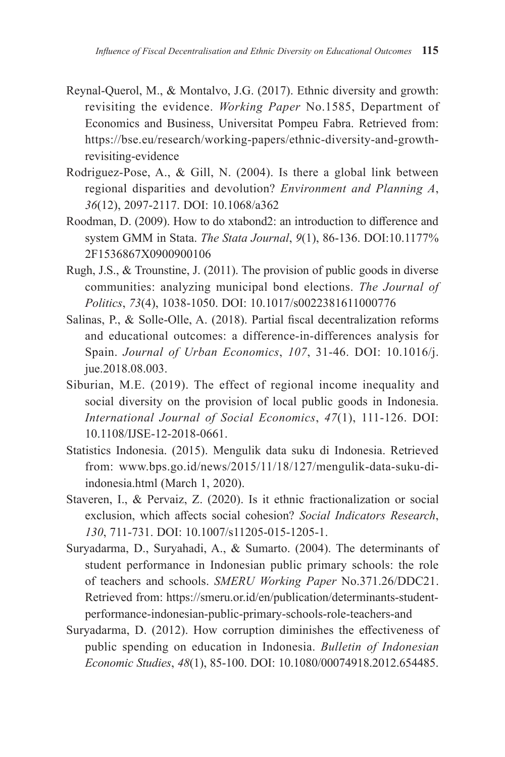- Reynal-Querol, M., & Montalvo, J.G. (2017). Ethnic diversity and growth: revisiting the evidence. *Working Paper* No.1585, Department of Economics and Business, Universitat Pompeu Fabra. Retrieved from: https://bse.eu/research/working-papers/ethnic-diversity-and-growthrevisiting-evidence
- Rodriguez-Pose, A., & Gill, N. (2004). Is there a global link between regional disparities and devolution? *Environment and Planning A*, *36*(12), 2097-2117. DOI: 10.1068/a362
- Roodman, D. (2009). How to do xtabond2: an introduction to difference and system GMM in Stata. *The Stata Journal*, *9*(1), 86-136. DOI:10.1177% 2F1536867X0900900106
- Rugh, J.S., & Trounstine, J. (2011). The provision of public goods in diverse communities: analyzing municipal bond elections. *The Journal of Politics*, *73*(4), 1038-1050. DOI: 10.1017/s0022381611000776
- Salinas, P., & Solle-Olle, A. (2018). Partial fiscal decentralization reforms and educational outcomes: a difference-in-differences analysis for Spain. *Journal of Urban Economics*, *107*, 31-46. DOI: 10.1016/j. jue.2018.08.003.
- Siburian, M.E. (2019). The effect of regional income inequality and social diversity on the provision of local public goods in Indonesia. *International Journal of Social Economics*, *47*(1), 111-126. DOI: 10.1108/IJSE-12-2018-0661.
- Statistics Indonesia. (2015). Mengulik data suku di Indonesia. Retrieved from: www.bps.go.id/news/2015/11/18/127/mengulik-data-suku-diindonesia.html (March 1, 2020).
- Staveren, I., & Pervaiz, Z. (2020). Is it ethnic fractionalization or social exclusion, which affects social cohesion? *Social Indicators Research*, *130*, 711-731. DOI: 10.1007/s11205-015-1205-1.
- Suryadarma, D., Suryahadi, A., & Sumarto. (2004). The determinants of student performance in Indonesian public primary schools: the role of teachers and schools. *SMERU Working Paper* No.371.26/DDC21. Retrieved from: https://smeru.or.id/en/publication/determinants-studentperformance-indonesian-public-primary-schools-role-teachers-and
- Suryadarma, D. (2012). How corruption diminishes the effectiveness of public spending on education in Indonesia. *Bulletin of Indonesian Economic Studies*, *48*(1), 85-100. DOI: 10.1080/00074918.2012.654485.